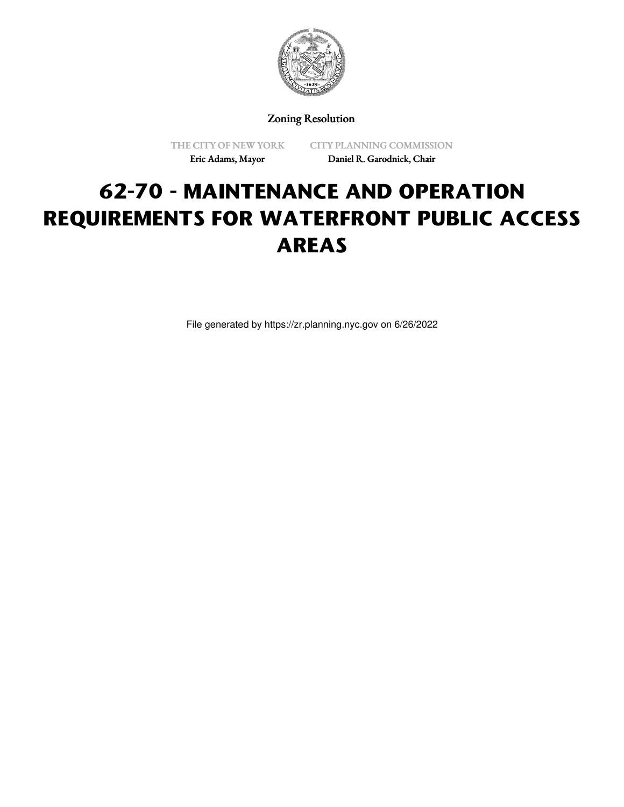

Zoning Resolution

THE CITY OF NEW YORK Eric Adams, Mayor

CITY PLANNING COMMISSION Daniel R. Garodnick, Chair

# **62-70 - MAINTENANCE AND OPERATION REQUIREMENTS FOR WATERFRONT PUBLIC ACCESS AREAS**

File generated by https://zr.planning.nyc.gov on 6/26/2022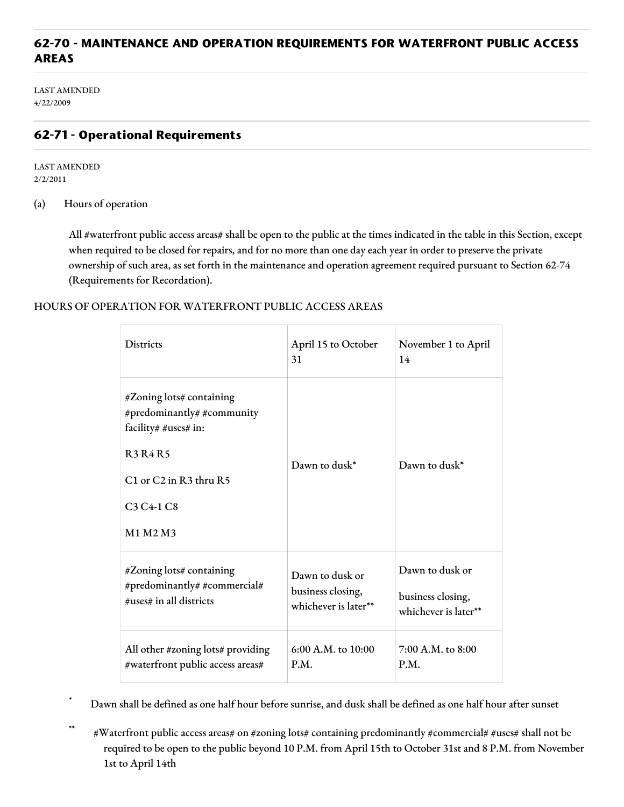# **62-70 - MAINTENANCE AND OPERATION REQUIREMENTS FOR WATERFRONT PUBLIC ACCESS AREAS**

LAST AMENDED 4/22/2009

## **62-71 - Operational Requirements**

LAST AMENDED 2/2/2011

(a) Hours of operation

All #waterfront public access areas# shall be open to the public at the times indicated in the table in this Section, except when required to be closed for repairs, and for no more than one day each year in order to preserve the private ownership of such area, as set forth in the maintenance and operation agreement required pursuant to Section 62-74 (Requirements for Recordation).

#### HOURS OF OPERATION FOR WATERFRONT PUBLIC ACCESS AREAS

| <b>Districts</b>                                                                                                                                                                         | April 15 to October<br>31 | November 1 to April<br>14 |
|------------------------------------------------------------------------------------------------------------------------------------------------------------------------------------------|---------------------------|---------------------------|
| #Zoning lots# containing<br>#predominantly# #community<br>facility# #uses# in:<br><b>R3R4R5</b><br>C1 or C2 in R3 thru R5<br>C <sub>3</sub> C <sub>4</sub> -1 C <sub>8</sub><br>M1 M2 M3 | Dawn to dusk*             | Dawn to dusk*             |
| #Zoning lots# containing                                                                                                                                                                 | Dawn to dusk or           | Dawn to dusk or           |
| #predominantly# #commercial#                                                                                                                                                             | business closing,         | business closing,         |
| #uses# in all districts                                                                                                                                                                  | whichever is later**      | whichever is later**      |
| All other #zoning lots# providing                                                                                                                                                        | 6:00 A.M. to 10:00        | $7:00$ A.M, to $8:00$     |
| #waterfront public access areas#                                                                                                                                                         | P.M.                      | P.M.                      |

Dawn shall be defined as one half hour before sunrise, and dusk shall be defined as one half hour after sunset

\*\* #Waterfront public access areas# on #zoning lots# containing predominantly #commercial# #uses# shall not be required to be open to the public beyond 10 P.M. from April 15th to October 31st and 8 P.M. from November 1st to April 14th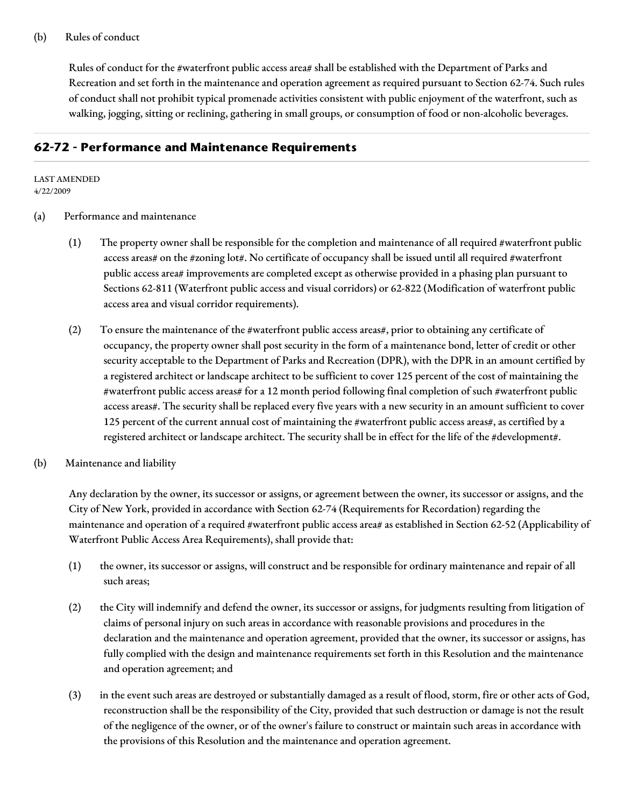#### (b) Rules of conduct

Rules of conduct for the #waterfront public access area# shall be established with the Department of Parks and Recreation and set forth in the maintenance and operation agreement as required pursuant to Section 62-74. Such rules of conduct shall not prohibit typical promenade activities consistent with public enjoyment of the waterfront, such as walking, jogging, sitting or reclining, gathering in small groups, or consumption of food or non-alcoholic beverages.

### **62-72 - Performance and Maintenance Requirements**

#### LAST AMENDED 4/22/2009

- (a) Performance and maintenance
	- (1) The property owner shall be responsible for the completion and maintenance of all required #waterfront public access areas# on the #zoning lot#. No certificate of occupancy shall be issued until all required #waterfront public access area# improvements are completed except as otherwise provided in a phasing plan pursuant to Sections 62-811 (Waterfront public access and visual corridors) or 62-822 (Modification of waterfront public access area and visual corridor requirements).
	- (2) To ensure the maintenance of the #waterfront public access areas#, prior to obtaining any certificate of occupancy, the property owner shall post security in the form of a maintenance bond, letter of credit or other security acceptable to the Department of Parks and Recreation (DPR), with the DPR in an amount certified by a registered architect or landscape architect to be sufficient to cover 125 percent of the cost of maintaining the #waterfront public access areas# for a 12 month period following final completion of such #waterfront public access areas#. The security shall be replaced every five years with a new security in an amount sufficient to cover 125 percent of the current annual cost of maintaining the #waterfront public access areas#, as certified by a registered architect or landscape architect. The security shall be in effect for the life of the #development#.
- (b) Maintenance and liability

Any declaration by the owner, its successor or assigns, or agreement between the owner, its successor or assigns, and the City of New York, provided in accordance with Section 62-74 (Requirements for Recordation) regarding the maintenance and operation of a required #waterfront public access area# as established in Section 62-52 (Applicability of Waterfront Public Access Area Requirements), shall provide that:

- (1) the owner, its successor or assigns, will construct and be responsible for ordinary maintenance and repair of all such areas;
- (2) the City will indemnify and defend the owner, its successor or assigns, for judgments resulting from litigation of claims of personal injury on such areas in accordance with reasonable provisions and procedures in the declaration and the maintenance and operation agreement, provided that the owner, its successor or assigns, has fully complied with the design and maintenance requirements set forth in this Resolution and the maintenance and operation agreement; and
- (3) in the event such areas are destroyed or substantially damaged as a result of flood, storm, fire or other acts of God, reconstruction shall be the responsibility of the City, provided that such destruction or damage is not the result of the negligence of the owner, or of the owner's failure to construct or maintain such areas in accordance with the provisions of this Resolution and the maintenance and operation agreement.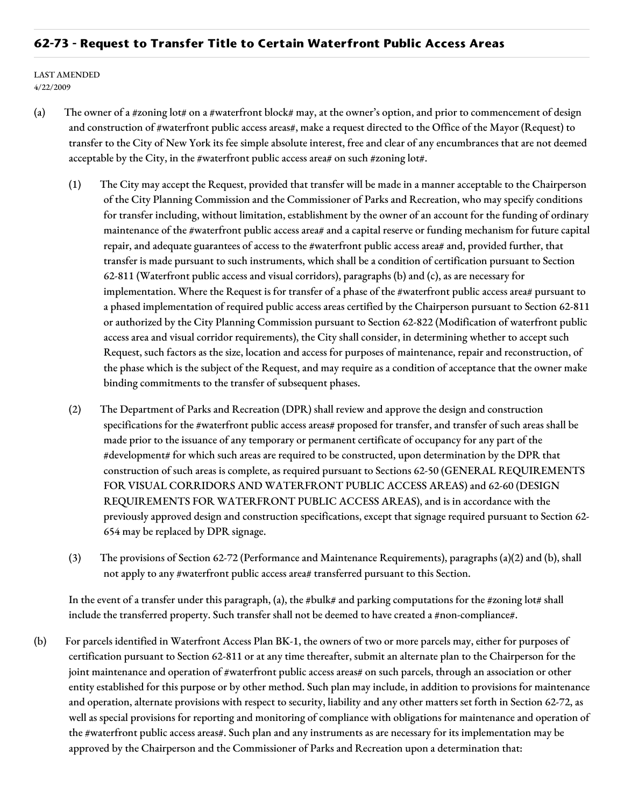### **62-73 - Request to Transfer Title to Certain Waterfront Public Access Areas**

LAST AMENDED 4/22/2009

- (a) The owner of a #zoning lot# on a #waterfront block# may, at the owner's option, and prior to commencement of design and construction of #waterfront public access areas#, make a request directed to the Office of the Mayor (Request) to transfer to the City of New York its fee simple absolute interest, free and clear of any encumbrances that are not deemed acceptable by the City, in the #waterfront public access area# on such #zoning lot#.
	- (1) The City may accept the Request, provided that transfer will be made in a manner acceptable to the Chairperson of the City Planning Commission and the Commissioner of Parks and Recreation, who may specify conditions for transfer including, without limitation, establishment by the owner of an account for the funding of ordinary maintenance of the #waterfront public access area# and a capital reserve or funding mechanism for future capital repair, and adequate guarantees of access to the #waterfront public access area# and, provided further, that transfer is made pursuant to such instruments, which shall be a condition of certification pursuant to Section 62-811 (Waterfront public access and visual corridors), paragraphs (b) and (c), as are necessary for implementation. Where the Request is for transfer of a phase of the #waterfront public access area# pursuant to a phased implementation of required public access areas certified by the Chairperson pursuant to Section 62-811 or authorized by the City Planning Commission pursuant to Section 62-822 (Modification of waterfront public access area and visual corridor requirements), the City shall consider, in determining whether to accept such Request, such factors as the size, location and access for purposes of maintenance, repair and reconstruction, of the phase which is the subject of the Request, and may require as a condition of acceptance that the owner make binding commitments to the transfer of subsequent phases.
	- (2) The Department of Parks and Recreation (DPR) shall review and approve the design and construction specifications for the #waterfront public access areas# proposed for transfer, and transfer of such areas shall be made prior to the issuance of any temporary or permanent certificate of occupancy for any part of the #development# for which such areas are required to be constructed, upon determination by the DPR that construction of such areas is complete, as required pursuant to Sections 62-50 (GENERAL REQUIREMENTS FOR VISUAL CORRIDORS AND WATERFRONT PUBLIC ACCESS AREAS) and 62-60 (DESIGN REQUIREMENTS FOR WATERFRONT PUBLIC ACCESS AREAS), and is in accordance with the previously approved design and construction specifications, except that signage required pursuant to Section 62- 654 may be replaced by DPR signage.
	- (3) The provisions of Section 62-72 (Performance and Maintenance Requirements), paragraphs (a)(2) and (b), shall not apply to any #waterfront public access area# transferred pursuant to this Section.

In the event of a transfer under this paragraph, (a), the #bulk# and parking computations for the #zoning lot# shall include the transferred property. Such transfer shall not be deemed to have created a #non-compliance#.

(b) For parcels identified in Waterfront Access Plan BK-1, the owners of two or more parcels may, either for purposes of certification pursuant to Section 62-811 or at any time thereafter, submit an alternate plan to the Chairperson for the joint maintenance and operation of #waterfront public access areas# on such parcels, through an association or other entity established for this purpose or by other method. Such plan may include, in addition to provisions for maintenance and operation, alternate provisions with respect to security, liability and any other matters set forth in Section 62-72, as well as special provisions for reporting and monitoring of compliance with obligations for maintenance and operation of the #waterfront public access areas#. Such plan and any instruments as are necessary for its implementation may be approved by the Chairperson and the Commissioner of Parks and Recreation upon a determination that: